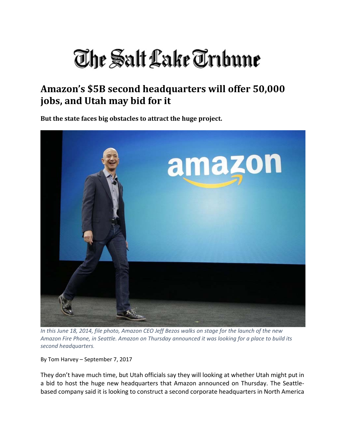## The Salt Lake Trıbune

## **Amazon's \$5B second headquarters will offer 50,000 jobs, and Utah may bid for it**

**But the state faces big obstacles to attract the huge project.**



In this June 18, 2014, file photo, Amazon CEO Jeff Bezos walks on stage for the launch of the new Amazon Fire Phone, in Seattle. Amazon on Thursday announced it was looking for a place to build its *second headquarters.*

By Tom Harvey – September 7, 2017

They don't have much time, but Utah officials say they will looking at whether Utah might put in a bid to host the huge new headquarters that Amazon announced on Thursday. The Seattle‐ based company said it is looking to construct a second corporate headquarters in North America